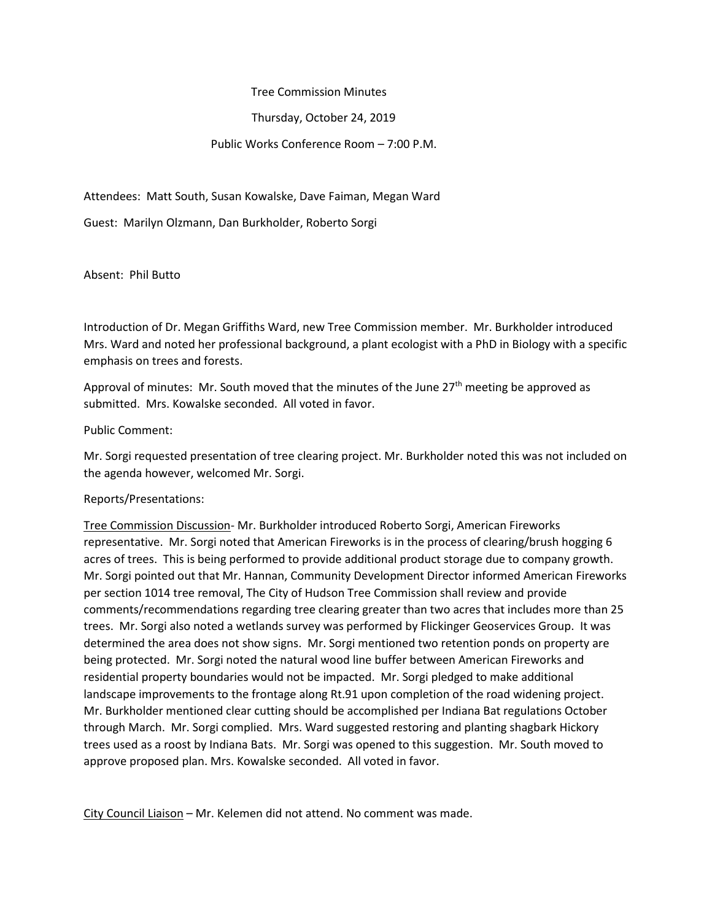Tree Commission Minutes

Thursday, October 24, 2019

## Public Works Conference Room – 7:00 P.M.

Attendees: Matt South, Susan Kowalske, Dave Faiman, Megan Ward

Guest: Marilyn Olzmann, Dan Burkholder, Roberto Sorgi

Absent: Phil Butto

Introduction of Dr. Megan Griffiths Ward, new Tree Commission member. Mr. Burkholder introduced Mrs. Ward and noted her professional background, a plant ecologist with a PhD in Biology with a specific emphasis on trees and forests.

Approval of minutes: Mr. South moved that the minutes of the June  $27<sup>th</sup>$  meeting be approved as submitted. Mrs. Kowalske seconded. All voted in favor.

Public Comment:

Mr. Sorgi requested presentation of tree clearing project. Mr. Burkholder noted this was not included on the agenda however, welcomed Mr. Sorgi.

Reports/Presentations:

Tree Commission Discussion- Mr. Burkholder introduced Roberto Sorgi, American Fireworks representative. Mr. Sorgi noted that American Fireworks is in the process of clearing/brush hogging 6 acres of trees. This is being performed to provide additional product storage due to company growth. Mr. Sorgi pointed out that Mr. Hannan, Community Development Director informed American Fireworks per section 1014 tree removal, The City of Hudson Tree Commission shall review and provide comments/recommendations regarding tree clearing greater than two acres that includes more than 25 trees. Mr. Sorgi also noted a wetlands survey was performed by Flickinger Geoservices Group. It was determined the area does not show signs. Mr. Sorgi mentioned two retention ponds on property are being protected. Mr. Sorgi noted the natural wood line buffer between American Fireworks and residential property boundaries would not be impacted. Mr. Sorgi pledged to make additional landscape improvements to the frontage along Rt.91 upon completion of the road widening project. Mr. Burkholder mentioned clear cutting should be accomplished per Indiana Bat regulations October through March. Mr. Sorgi complied. Mrs. Ward suggested restoring and planting shagbark Hickory trees used as a roost by Indiana Bats. Mr. Sorgi was opened to this suggestion. Mr. South moved to approve proposed plan. Mrs. Kowalske seconded. All voted in favor.

City Council Liaison - Mr. Kelemen did not attend. No comment was made.